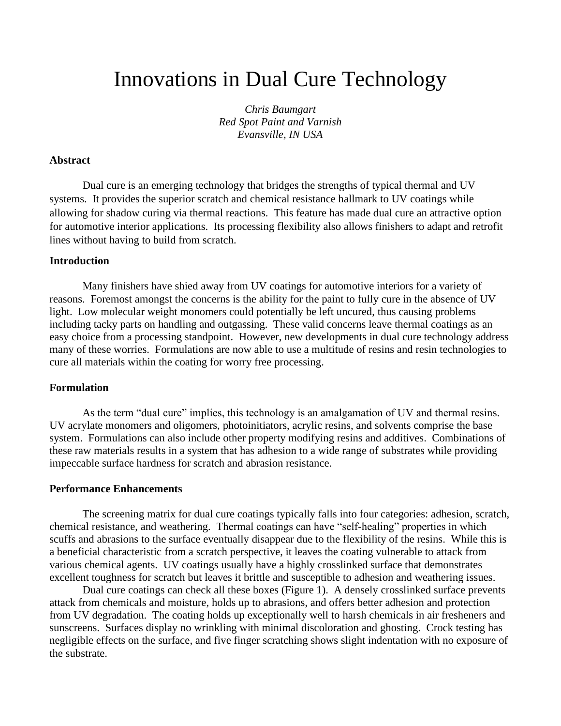# Innovations in Dual Cure Technology

*Chris Baumgart Red Spot Paint and Varnish Evansville, IN USA*

## **Abstract**

Dual cure is an emerging technology that bridges the strengths of typical thermal and UV systems. It provides the superior scratch and chemical resistance hallmark to UV coatings while allowing for shadow curing via thermal reactions. This feature has made dual cure an attractive option for automotive interior applications. Its processing flexibility also allows finishers to adapt and retrofit lines without having to build from scratch.

#### **Introduction**

Many finishers have shied away from UV coatings for automotive interiors for a variety of reasons. Foremost amongst the concerns is the ability for the paint to fully cure in the absence of UV light. Low molecular weight monomers could potentially be left uncured, thus causing problems including tacky parts on handling and outgassing. These valid concerns leave thermal coatings as an easy choice from a processing standpoint. However, new developments in dual cure technology address many of these worries. Formulations are now able to use a multitude of resins and resin technologies to cure all materials within the coating for worry free processing.

# **Formulation**

As the term "dual cure" implies, this technology is an amalgamation of UV and thermal resins. UV acrylate monomers and oligomers, photoinitiators, acrylic resins, and solvents comprise the base system. Formulations can also include other property modifying resins and additives. Combinations of these raw materials results in a system that has adhesion to a wide range of substrates while providing impeccable surface hardness for scratch and abrasion resistance.

#### **Performance Enhancements**

The screening matrix for dual cure coatings typically falls into four categories: adhesion, scratch, chemical resistance, and weathering. Thermal coatings can have "self-healing" properties in which scuffs and abrasions to the surface eventually disappear due to the flexibility of the resins. While this is a beneficial characteristic from a scratch perspective, it leaves the coating vulnerable to attack from various chemical agents. UV coatings usually have a highly crosslinked surface that demonstrates excellent toughness for scratch but leaves it brittle and susceptible to adhesion and weathering issues.

Dual cure coatings can check all these boxes (Figure 1). A densely crosslinked surface prevents attack from chemicals and moisture, holds up to abrasions, and offers better adhesion and protection from UV degradation. The coating holds up exceptionally well to harsh chemicals in air fresheners and sunscreens. Surfaces display no wrinkling with minimal discoloration and ghosting. Crock testing has negligible effects on the surface, and five finger scratching shows slight indentation with no exposure of the substrate.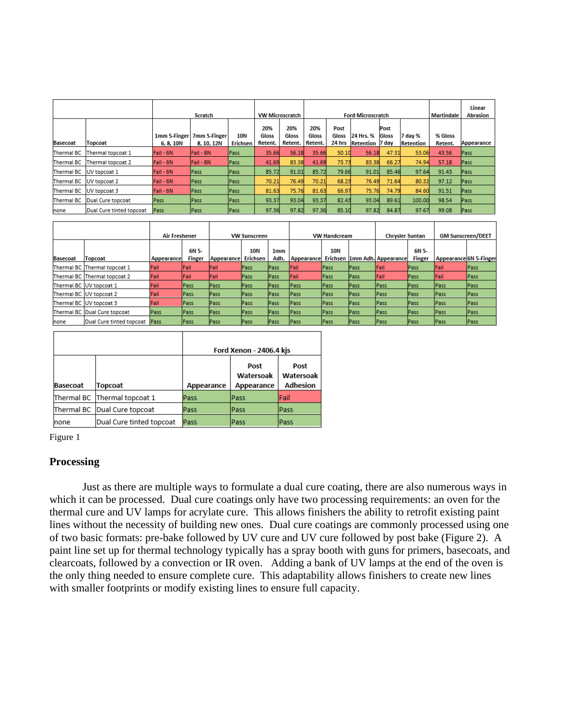|            |                              | Scratch                 |                            |                 | <b>VW Microscratch</b>  |                         | <b>Ford Microscratch</b> |                         |                        |                        | Martindale           | Linear<br>Abrasion |             |
|------------|------------------------------|-------------------------|----------------------------|-----------------|-------------------------|-------------------------|--------------------------|-------------------------|------------------------|------------------------|----------------------|--------------------|-------------|
| Basecoat   | Topcoat                      | 1mm 5-Finger<br>6.8.10N | 7mm 5-Finger<br>8, 10, 12N | 10N<br>Erichsen | 20%<br>Gloss<br>Retent. | 20%<br>Gloss<br>Retent. | 20%<br>Gloss<br>Retent.  | Post<br>Gloss<br>24 hrs | 24 Hrs. %<br>Retention | Post<br>Gloss<br>7 dav | 7 dav %<br>Retention | % Gloss<br>Retent. | Appearance  |
| Thermal BC | Thermal topcoat 1            | Fail - 6N               | <b>IFail - 8N</b>          | <b>Pass</b>     | 35.66                   | 56.18                   | 35.66                    | 50.10                   | 56.18                  | 47.31                  | 53.06                | 43.56              | Pass        |
| Thermal BC | Thermal topcoat 2            | Fail - 6N               | Fail - 8N                  | lPass.          | 41.69                   | 83.38                   | 41.69                    | 73.73                   | 83.38                  | 66.27                  | 74.94                | 57.18              | Pass        |
|            | Thermal BC UV topcoat 1      | Fail - 6N               | <b>Pass</b>                | Pass            | 85.72                   | 91.01                   | 85.72                    | 79.66                   | 91.01                  | 85.46                  | 97.64                | 91.43              | Pass        |
|            | Thermal BC UV topcoat 2      | Fail - 6N               | Pass                       | Pass            | 70.21                   | 76.49                   | 70.21                    | 68.23                   | 76.49                  | 71.64                  | 80.32                | 97.12              | Pass        |
| Thermal BC | UV topcoat 3                 | Fail - 6N               | <b>Pass</b>                | Pass            | 81.63                   | 75.76                   | 81.63                    | 66.97                   | 75.76                  | 74.79                  | 84.60                | 91.51              | <b>Pass</b> |
|            | Thermal BC Dual Cure topcoat | Pass                    | Pass                       | Pass            | 93.37                   | 93.04                   | 93.37                    | 82.43                   | 93.04                  | 89.61                  | 100.00               | 98.54              | Pass        |
| none       | Dual Cure tinted topcoat     | <b>Pass</b>             | Pass                       | Pass            | 97.36                   | 97.82                   | 97.36                    | 85.10                   | 97.82                  | 84.87                  | 97.67                | 99.08              | Pass        |

|          |                              | Air Freshener |             | <b>VW Sunscreen</b> |             | <b>VW Handcream</b> |              |      | <b>Chrysler Suntan</b> |                                | <b>GM Sunscreen/DEET</b> |                        |      |
|----------|------------------------------|---------------|-------------|---------------------|-------------|---------------------|--------------|------|------------------------|--------------------------------|--------------------------|------------------------|------|
|          |                              |               | 6N 5-       |                     | 10N         | 1 <sub>mm</sub>     |              | 10N  |                        |                                | 6N 5-                    |                        |      |
| Basecoat | Topcoat                      | Appearancel   | Finger      | Appearance          | Erichsen    | Adh.                | Appearance   |      |                        | Erichsen   1mm Adh. Appearance | Finger                   | Appearance 6N 5-Finger |      |
|          | Thermal BC Thermal topcoat 1 | Fail          | Fail        | Fail                | Pass        | lPass               | Fail         | Pass | Pass                   | Fail                           | <b>Pass</b>              | Fail                   | Pass |
|          | Thermal BC Thermal topcoat 2 | Fail          | lFail       | Fail                | <b>Pass</b> | lPass:              | <b>Fail</b>  | Pass | <b>Pass</b>            | <b>IFail</b>                   | Pass                     | <b>Fail</b>            | Pass |
|          | Thermal BC IUV topcoat 1     | Fail          | <b>Pass</b> | Pass                | Pass        | Pass                | <b>Pass</b>  | Pass | Pass                   | <b>Pass</b>                    | Pass                     | <b>Pass</b>            | Pass |
|          | Thermal BC IUV topcoat 2     | Fail          | Pass        | Pass                | Pass        | lPass.              | <b>Pass</b>  | Pass | Pass                   | <b>Pass</b>                    | lPass                    | Pass                   | Pass |
|          | Thermal BC IUV topcoat 3     | Fail          | <b>Pass</b> | Pass                | lPass       | lPass.              | lPass        | Pass | Pass                   | <b>Pass</b>                    | <b>Pass</b>              | <b>Pass</b>            | Pass |
|          | Thermal BC Dual Cure topcoat | Pass          | lPass       | Pass                | Pass        | Pass                | <b>IPass</b> | Pass | Pass                   | <b>IPass</b>                   | <b>Pass</b>              | <b>IPass</b>           | Pass |
| none     | Dual Cure tinted topcoat     | Pass          | Pass        | Pass                | Pass        | Pass                | <b>Pass</b>  | Pass | Pass                   | <b>Pass</b>                    | Pass                     | <b>Pass</b>            | Pass |

|                 |                              |            | Ford Xenon - 2406.4 kis         |                               |
|-----------------|------------------------------|------------|---------------------------------|-------------------------------|
| <b>Basecoat</b> | Topcoat                      | Appearance | Post<br>Watersoak<br>Appearance | Post<br>Watersoak<br>Adhesion |
|                 | Thermal BC Thermal topcoat 1 | Pass       | Pass                            | Fail                          |
|                 | Thermal BC Dual Cure topcoat | Pass       | Pass                            | Pass                          |
| Inone           | Dual Cure tinted topcoat     | Pass       | Pass                            | Pass                          |

Figure 1

# **Processing**

Just as there are multiple ways to formulate a dual cure coating, there are also numerous ways in which it can be processed. Dual cure coatings only have two processing requirements: an oven for the thermal cure and UV lamps for acrylate cure. This allows finishers the ability to retrofit existing paint lines without the necessity of building new ones. Dual cure coatings are commonly processed using one of two basic formats: pre-bake followed by UV cure and UV cure followed by post bake (Figure 2). A paint line set up for thermal technology typically has a spray booth with guns for primers, basecoats, and clearcoats, followed by a convection or IR oven. Adding a bank of UV lamps at the end of the oven is the only thing needed to ensure complete cure. This adaptability allows finishers to create new lines with smaller footprints or modify existing lines to ensure full capacity.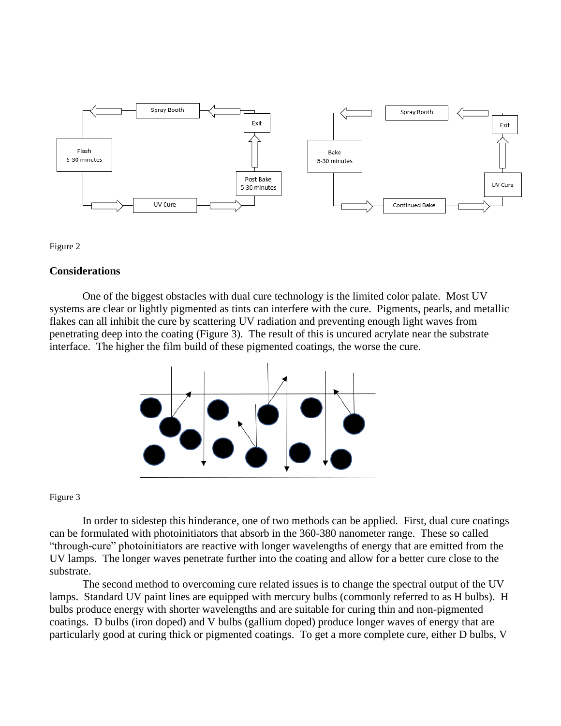



# **Considerations**

One of the biggest obstacles with dual cure technology is the limited color palate. Most UV systems are clear or lightly pigmented as tints can interfere with the cure. Pigments, pearls, and metallic flakes can all inhibit the cure by scattering UV radiation and preventing enough light waves from penetrating deep into the coating (Figure 3). The result of this is uncured acrylate near the substrate interface. The higher the film build of these pigmented coatings, the worse the cure.



Figure 3

In order to sidestep this hinderance, one of two methods can be applied. First, dual cure coatings can be formulated with photoinitiators that absorb in the 360-380 nanometer range. These so called "through-cure" photoinitiators are reactive with longer wavelengths of energy that are emitted from the UV lamps. The longer waves penetrate further into the coating and allow for a better cure close to the substrate.

The second method to overcoming cure related issues is to change the spectral output of the UV lamps. Standard UV paint lines are equipped with mercury bulbs (commonly referred to as H bulbs). H bulbs produce energy with shorter wavelengths and are suitable for curing thin and non-pigmented coatings. D bulbs (iron doped) and V bulbs (gallium doped) produce longer waves of energy that are particularly good at curing thick or pigmented coatings. To get a more complete cure, either D bulbs, V